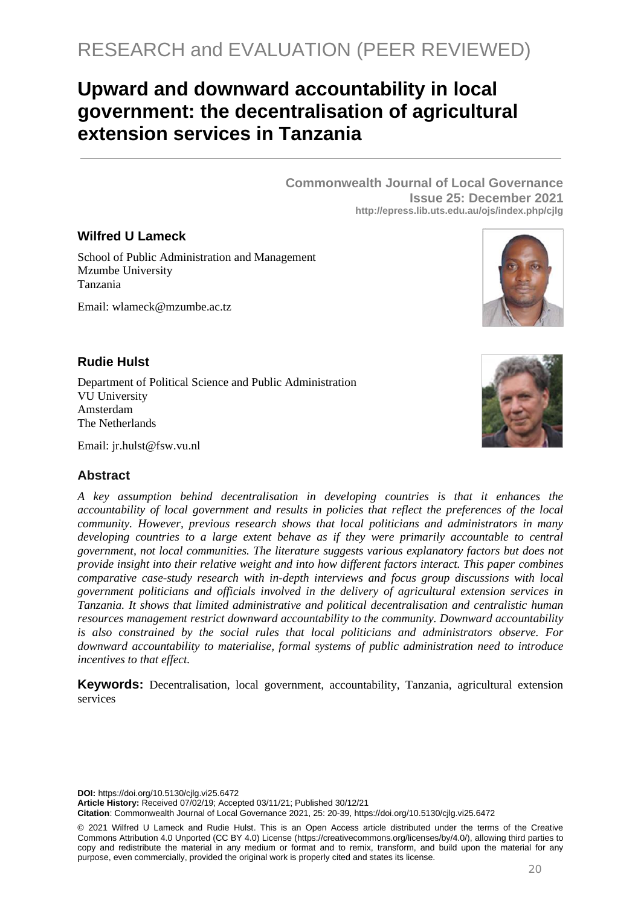# **Upward and downward accountability in local government: the decentralisation of agricultural extension services in Tanzania**

**Commonwealth Journal of Local Governance Issue 25: December 2021 http://epress.lib.uts.edu.au/ojs/index.php/cjlg**

## **Wilfred U Lameck**

School of Public Administration and Management Mzumbe University Tanzania

Email: wlameck@mzumbe.ac.tz



## **Rudie Hulst**

Department of Political Science and Public Administration VU University Amsterdam The Netherlands



Email: [jr.hulst@fsw.vu.nl](mailto:jr.hulst@fsw.vu.nl)

## **Abstract**

*A key assumption behind decentralisation in developing countries is that it enhances the accountability of local government and results in policies that reflect the preferences of the local community. However, previous research shows that local politicians and administrators in many developing countries to a large extent behave as if they were primarily accountable to central government, not local communities. The literature suggests various explanatory factors but does not provide insight into their relative weight and into how different factors interact. This paper combines comparative case-study research with in-depth interviews and focus group discussions with local government politicians and officials involved in the delivery of agricultural extension services in Tanzania. It shows that limited administrative and political decentralisation and centralistic human resources management restrict downward accountability to the community. Downward accountability is also constrained by the social rules that local politicians and administrators observe. For downward accountability to materialise, formal systems of public administration need to introduce incentives to that effect.* 

**Keywords:** Decentralisation, local government, accountability, Tanzania, agricultural extension services

**DOI:** https://doi.org/10.5130/cjlg.vi25.6472

**Article History:** Received 07/02/19; Accepted 03/11/21; Published 30/12/21

**Citation**: Commonwealth Journal of Local Governance 2021, 25: 20-39, https://doi.org/10.5130/cjlg.vi25.6472

© 2021 Wilfred U Lameck and Rudie Hulst. This is an Open Access article distributed under the terms of the Creative Commons Attribution 4.0 Unported (CC BY 4.0) License [\(https://creativecommons.org/licenses/by/4.0/\)](https://creativecommons.org/licenses/by/4.0/), allowing third parties to copy and redistribute the material in any medium or format and to remix, transform, and build upon the material for any purpose, even commercially, provided the original work is properly cited and states its license.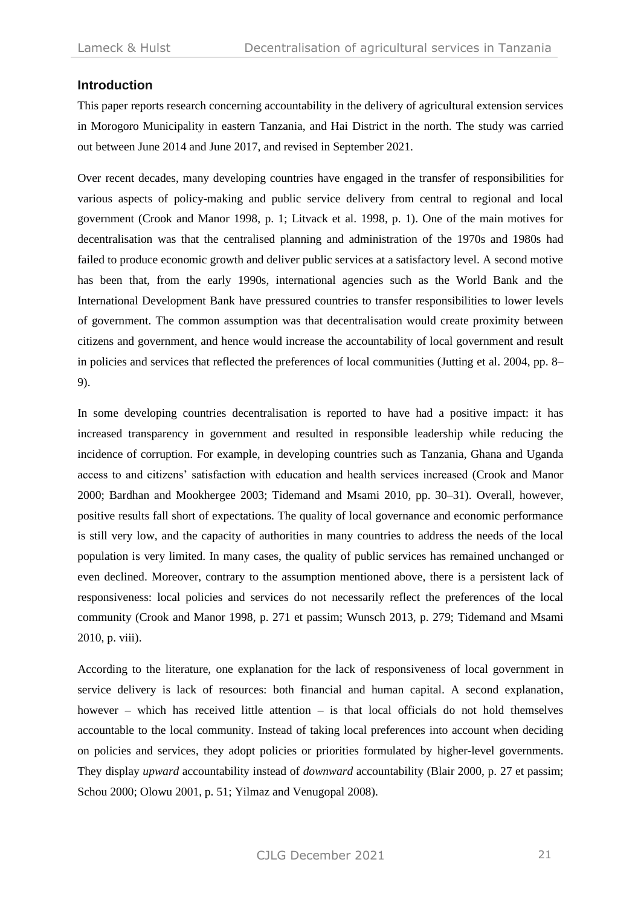#### **Introduction**

This paper reports research concerning accountability in the delivery of agricultural extension services in Morogoro Municipality in eastern Tanzania, and Hai District in the north. The study was carried out between June 2014 and June 2017, and revised in September 2021.

Over recent decades, many developing countries have engaged in the transfer of responsibilities for various aspects of policy-making and public service delivery from central to regional and local government (Crook and Manor 1998, p. 1; Litvack et al. 1998, p. 1). One of the main motives for decentralisation was that the centralised planning and administration of the 1970s and 1980s had failed to produce economic growth and deliver public services at a satisfactory level. A second motive has been that, from the early 1990s, international agencies such as the World Bank and the International Development Bank have pressured countries to transfer responsibilities to lower levels of government. The common assumption was that decentralisation would create proximity between citizens and government, and hence would increase the accountability of local government and result in policies and services that reflected the preferences of local communities (Jutting et al. 2004, pp. 8– 9).

In some developing countries decentralisation is reported to have had a positive impact: it has increased transparency in government and resulted in responsible leadership while reducing the incidence of corruption. For example, in developing countries such as Tanzania, Ghana and Uganda access to and citizens' satisfaction with education and health services increased (Crook and Manor 2000; Bardhan and Mookhergee 2003; Tidemand and Msami 2010, pp. 30–31). Overall, however, positive results fall short of expectations. The quality of local governance and economic performance is still very low, and the capacity of authorities in many countries to address the needs of the local population is very limited. In many cases, the quality of public services has remained unchanged or even declined. Moreover, contrary to the assumption mentioned above, there is a persistent lack of responsiveness: local policies and services do not necessarily reflect the preferences of the local community (Crook and Manor 1998, p. 271 et passim; Wunsch 2013, p. 279; Tidemand and Msami 2010, p. viii).

According to the literature, one explanation for the lack of responsiveness of local government in service delivery is lack of resources: both financial and human capital. A second explanation, however – which has received little attention – is that local officials do not hold themselves accountable to the local community. Instead of taking local preferences into account when deciding on policies and services, they adopt policies or priorities formulated by higher-level governments. They display *upward* accountability instead of *downward* accountability (Blair 2000, p. 27 et passim; Schou 2000; Olowu 2001, p. 51; Yilmaz and Venugopal 2008).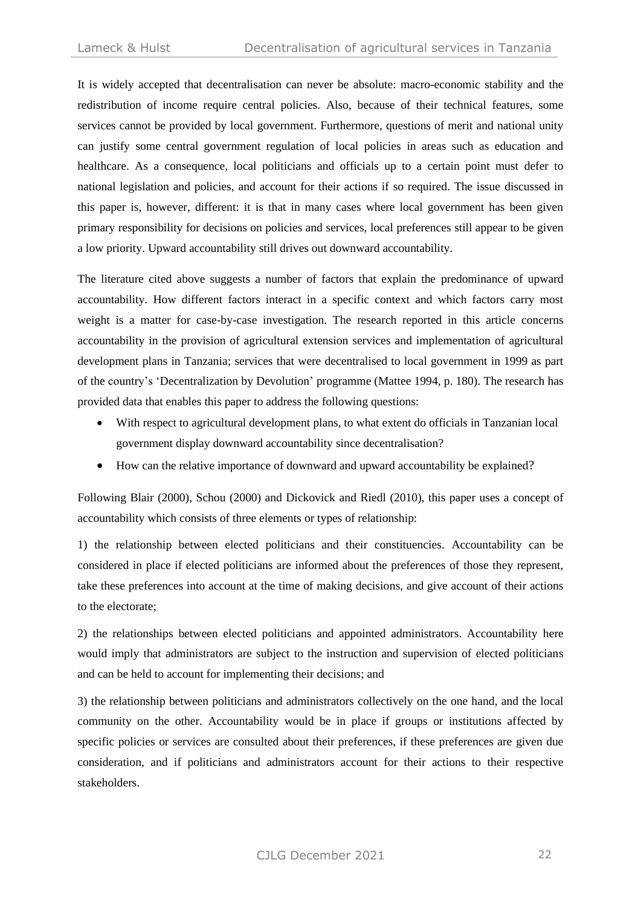It is widely accepted that decentralisation can never be absolute: macro-economic stability and the redistribution of income require central policies. Also, because of their technical features, some services cannot be provided by local government. Furthermore, questions of merit and national unity can justify some central government regulation of local policies in areas such as education and healthcare. As a consequence, local politicians and officials up to a certain point must defer to national legislation and policies, and account for their actions if so required. The issue discussed in this paper is, however, different: it is that in many cases where local government has been given primary responsibility for decisions on policies and services, local preferences still appear to be given a low priority. Upward accountability still drives out downward accountability.

The literature cited above suggests a number of factors that explain the predominance of upward accountability. How different factors interact in a specific context and which factors carry most weight is a matter for case-by-case investigation. The research reported in this article concerns accountability in the provision of agricultural extension services and implementation of agricultural development plans in Tanzania; services that were decentralised to local government in 1999 as part of the country's 'Decentralization by Devolution' programme (Mattee 1994, p. 180). The research has provided data that enables this paper to address the following questions:

- With respect to agricultural development plans, to what extent do officials in Tanzanian local government display downward accountability since decentralisation?
- How can the relative importance of downward and upward accountability be explained?

Following Blair (2000), Schou (2000) and Dickovick and Riedl (2010), this paper uses a concept of accountability which consists of three elements or types of relationship:

1) the relationship between elected politicians and their constituencies. Accountability can be considered in place if elected politicians are informed about the preferences of those they represent, take these preferences into account at the time of making decisions, and give account of their actions to the electorate;

2) the relationships between elected politicians and appointed administrators. Accountability here would imply that administrators are subject to the instruction and supervision of elected politicians and can be held to account for implementing their decisions; and

3) the relationship between politicians and administrators collectively on the one hand, and the local community on the other. Accountability would be in place if groups or institutions affected by specific policies or services are consulted about their preferences, if these preferences are given due consideration, and if politicians and administrators account for their actions to their respective stakeholders.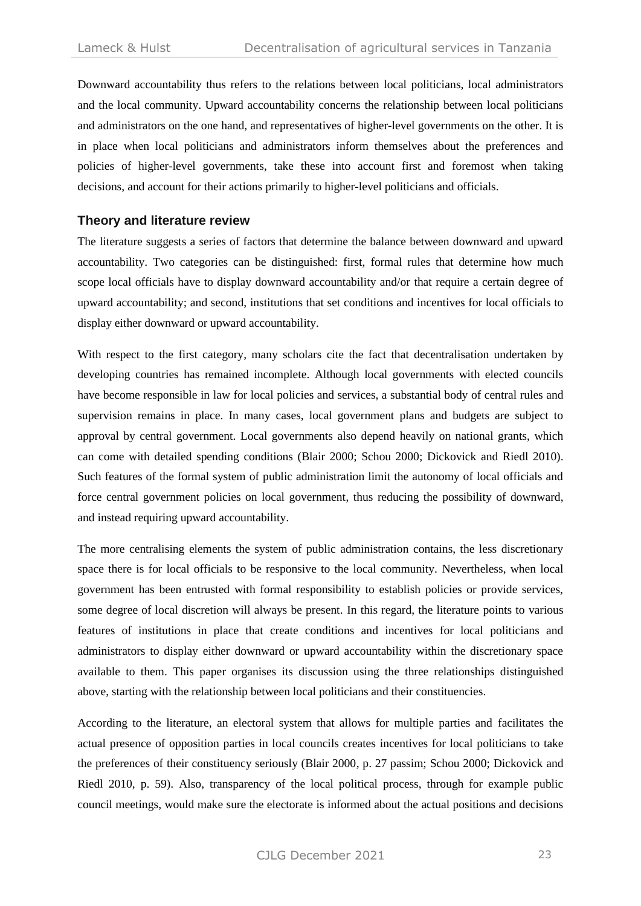Downward accountability thus refers to the relations between local politicians, local administrators and the local community. Upward accountability concerns the relationship between local politicians and administrators on the one hand, and representatives of higher-level governments on the other. It is in place when local politicians and administrators inform themselves about the preferences and policies of higher-level governments, take these into account first and foremost when taking decisions, and account for their actions primarily to higher-level politicians and officials.

#### **Theory and literature review**

The literature suggests a series of factors that determine the balance between downward and upward accountability. Two categories can be distinguished: first, formal rules that determine how much scope local officials have to display downward accountability and/or that require a certain degree of upward accountability; and second, institutions that set conditions and incentives for local officials to display either downward or upward accountability.

With respect to the first category, many scholars cite the fact that decentralisation undertaken by developing countries has remained incomplete. Although local governments with elected councils have become responsible in law for local policies and services, a substantial body of central rules and supervision remains in place. In many cases, local government plans and budgets are subject to approval by central government. Local governments also depend heavily on national grants, which can come with detailed spending conditions (Blair 2000; Schou 2000; Dickovick and Riedl 2010). Such features of the formal system of public administration limit the autonomy of local officials and force central government policies on local government, thus reducing the possibility of downward, and instead requiring upward accountability.

The more centralising elements the system of public administration contains, the less discretionary space there is for local officials to be responsive to the local community. Nevertheless, when local government has been entrusted with formal responsibility to establish policies or provide services, some degree of local discretion will always be present. In this regard, the literature points to various features of institutions in place that create conditions and incentives for local politicians and administrators to display either downward or upward accountability within the discretionary space available to them. This paper organises its discussion using the three relationships distinguished above, starting with the relationship between local politicians and their constituencies.

According to the literature, an electoral system that allows for multiple parties and facilitates the actual presence of opposition parties in local councils creates incentives for local politicians to take the preferences of their constituency seriously (Blair 2000, p. 27 passim; Schou 2000; Dickovick and Riedl 2010, p. 59). Also, transparency of the local political process, through for example public council meetings, would make sure the electorate is informed about the actual positions and decisions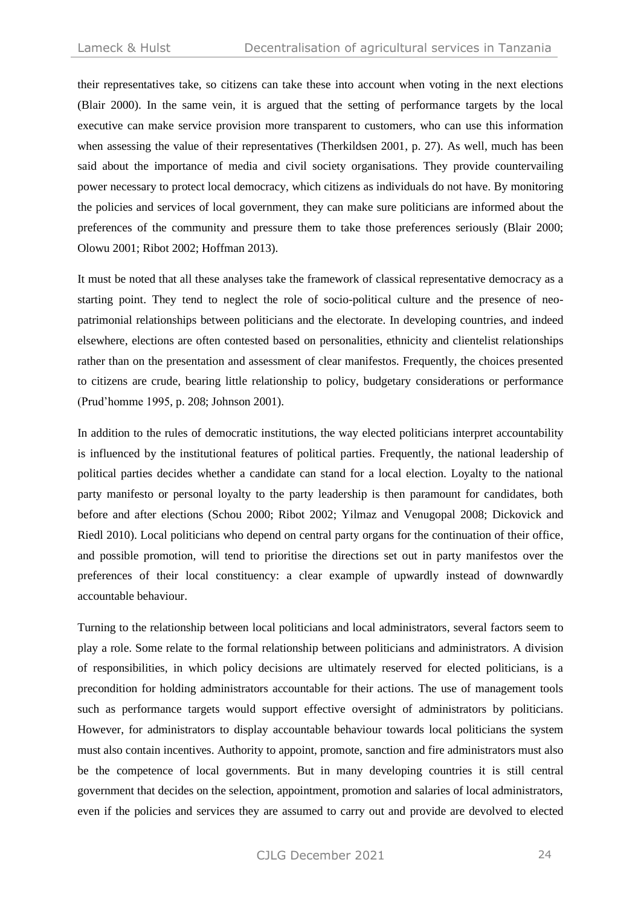their representatives take, so citizens can take these into account when voting in the next elections (Blair 2000). In the same vein, it is argued that the setting of performance targets by the local executive can make service provision more transparent to customers, who can use this information when assessing the value of their representatives (Therkildsen 2001, p. 27). As well, much has been said about the importance of media and civil society organisations. They provide countervailing power necessary to protect local democracy, which citizens as individuals do not have. By monitoring the policies and services of local government, they can make sure politicians are informed about the preferences of the community and pressure them to take those preferences seriously (Blair 2000; Olowu 2001; Ribot 2002; Hoffman 2013).

It must be noted that all these analyses take the framework of classical representative democracy as a starting point. They tend to neglect the role of socio-political culture and the presence of neopatrimonial relationships between politicians and the electorate. In developing countries, and indeed elsewhere, elections are often contested based on personalities, ethnicity and clientelist relationships rather than on the presentation and assessment of clear manifestos. Frequently, the choices presented to citizens are crude, bearing little relationship to policy, budgetary considerations or performance (Prud'homme 1995, p. 208; Johnson 2001).

In addition to the rules of democratic institutions, the way elected politicians interpret accountability is influenced by the institutional features of political parties. Frequently, the national leadership of political parties decides whether a candidate can stand for a local election. Loyalty to the national party manifesto or personal loyalty to the party leadership is then paramount for candidates, both before and after elections (Schou 2000; Ribot 2002; Yilmaz and Venugopal 2008; Dickovick and Riedl 2010). Local politicians who depend on central party organs for the continuation of their office, and possible promotion, will tend to prioritise the directions set out in party manifestos over the preferences of their local constituency: a clear example of upwardly instead of downwardly accountable behaviour.

Turning to the relationship between local politicians and local administrators, several factors seem to play a role. Some relate to the formal relationship between politicians and administrators. A division of responsibilities, in which policy decisions are ultimately reserved for elected politicians, is a precondition for holding administrators accountable for their actions. The use of management tools such as performance targets would support effective oversight of administrators by politicians. However, for administrators to display accountable behaviour towards local politicians the system must also contain incentives. Authority to appoint, promote, sanction and fire administrators must also be the competence of local governments. But in many developing countries it is still central government that decides on the selection, appointment, promotion and salaries of local administrators, even if the policies and services they are assumed to carry out and provide are devolved to elected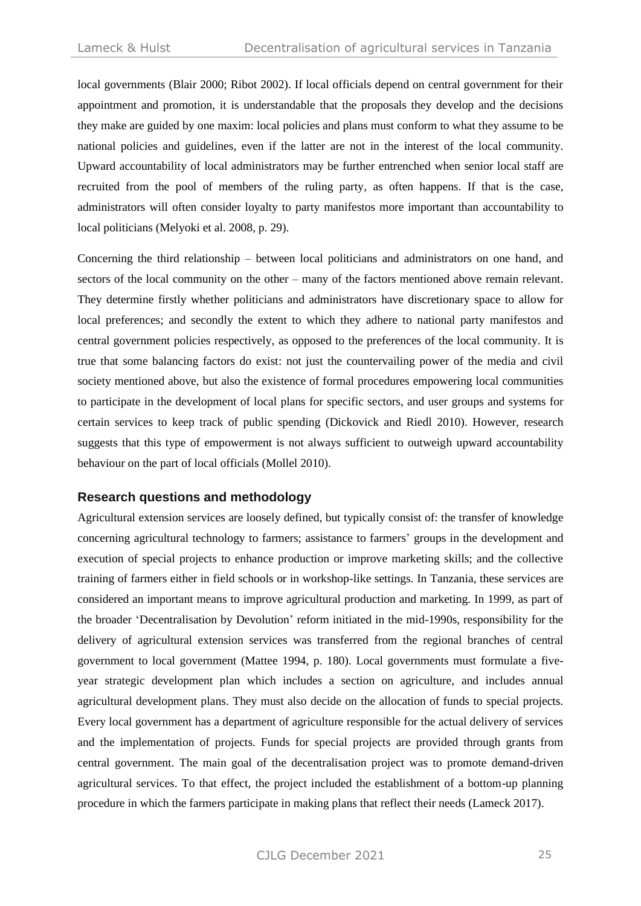local governments (Blair 2000; Ribot 2002). If local officials depend on central government for their appointment and promotion, it is understandable that the proposals they develop and the decisions they make are guided by one maxim: local policies and plans must conform to what they assume to be national policies and guidelines, even if the latter are not in the interest of the local community. Upward accountability of local administrators may be further entrenched when senior local staff are recruited from the pool of members of the ruling party, as often happens. If that is the case, administrators will often consider loyalty to party manifestos more important than accountability to local politicians (Melyoki et al. 2008, p. 29).

Concerning the third relationship – between local politicians and administrators on one hand, and sectors of the local community on the other – many of the factors mentioned above remain relevant. They determine firstly whether politicians and administrators have discretionary space to allow for local preferences; and secondly the extent to which they adhere to national party manifestos and central government policies respectively, as opposed to the preferences of the local community. It is true that some balancing factors do exist: not just the countervailing power of the media and civil society mentioned above, but also the existence of formal procedures empowering local communities to participate in the development of local plans for specific sectors, and user groups and systems for certain services to keep track of public spending (Dickovick and Riedl 2010). However, research suggests that this type of empowerment is not always sufficient to outweigh upward accountability behaviour on the part of local officials (Mollel 2010).

#### **Research questions and methodology**

Agricultural extension services are loosely defined, but typically consist of: the transfer of knowledge concerning agricultural technology to farmers; assistance to farmers' groups in the development and execution of special projects to enhance production or improve marketing skills; and the collective training of farmers either in field schools or in workshop-like settings. In Tanzania, these services are considered an important means to improve agricultural production and marketing. In 1999, as part of the broader 'Decentralisation by Devolution' reform initiated in the mid-1990s, responsibility for the delivery of agricultural extension services was transferred from the regional branches of central government to local government (Mattee 1994, p. 180). Local governments must formulate a fiveyear strategic development plan which includes a section on agriculture, and includes annual agricultural development plans. They must also decide on the allocation of funds to special projects. Every local government has a department of agriculture responsible for the actual delivery of services and the implementation of projects. Funds for special projects are provided through grants from central government. The main goal of the decentralisation project was to promote demand-driven agricultural services. To that effect, the project included the establishment of a bottom-up planning procedure in which the farmers participate in making plans that reflect their needs (Lameck 2017).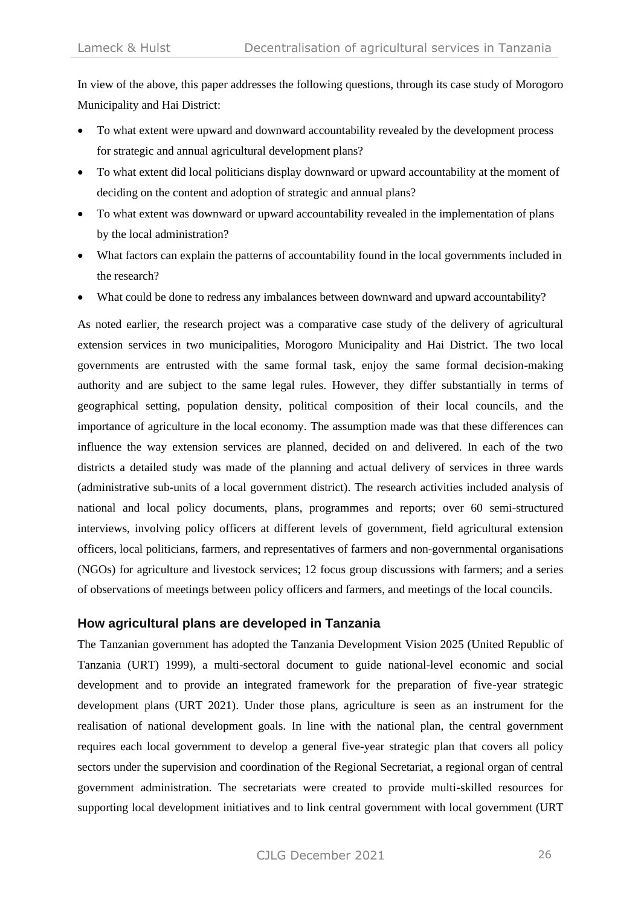In view of the above, this paper addresses the following questions, through its case study of Morogoro Municipality and Hai District:

- To what extent were upward and downward accountability revealed by the development process for strategic and annual agricultural development plans?
- To what extent did local politicians display downward or upward accountability at the moment of deciding on the content and adoption of strategic and annual plans?
- To what extent was downward or upward accountability revealed in the implementation of plans by the local administration?
- What factors can explain the patterns of accountability found in the local governments included in the research?
- What could be done to redress any imbalances between downward and upward accountability?

As noted earlier, the research project was a comparative case study of the delivery of agricultural extension services in two municipalities, Morogoro Municipality and Hai District. The two local governments are entrusted with the same formal task, enjoy the same formal decision-making authority and are subject to the same legal rules. However, they differ substantially in terms of geographical setting, population density, political composition of their local councils, and the importance of agriculture in the local economy. The assumption made was that these differences can influence the way extension services are planned, decided on and delivered. In each of the two districts a detailed study was made of the planning and actual delivery of services in three wards (administrative sub-units of a local government district). The research activities included analysis of national and local policy documents, plans, programmes and reports; over 60 semi-structured interviews, involving policy officers at different levels of government, field agricultural extension officers, local politicians, farmers, and representatives of farmers and non-governmental organisations (NGOs) for agriculture and livestock services; 12 focus group discussions with farmers; and a series of observations of meetings between policy officers and farmers, and meetings of the local councils.

## **How agricultural plans are developed in Tanzania**

The Tanzanian government has adopted the Tanzania Development Vision 2025 (United Republic of Tanzania (URT) 1999), a multi-sectoral document to guide national-level economic and social development and to provide an integrated framework for the preparation of five-year strategic development plans (URT 2021). Under those plans, agriculture is seen as an instrument for the realisation of national development goals. In line with the national plan, the central government requires each local government to develop a general five-year strategic plan that covers all policy sectors under the supervision and coordination of the Regional Secretariat, a regional organ of central government administration. The secretariats were created to provide multi-skilled resources for supporting local development initiatives and to link central government with local government (URT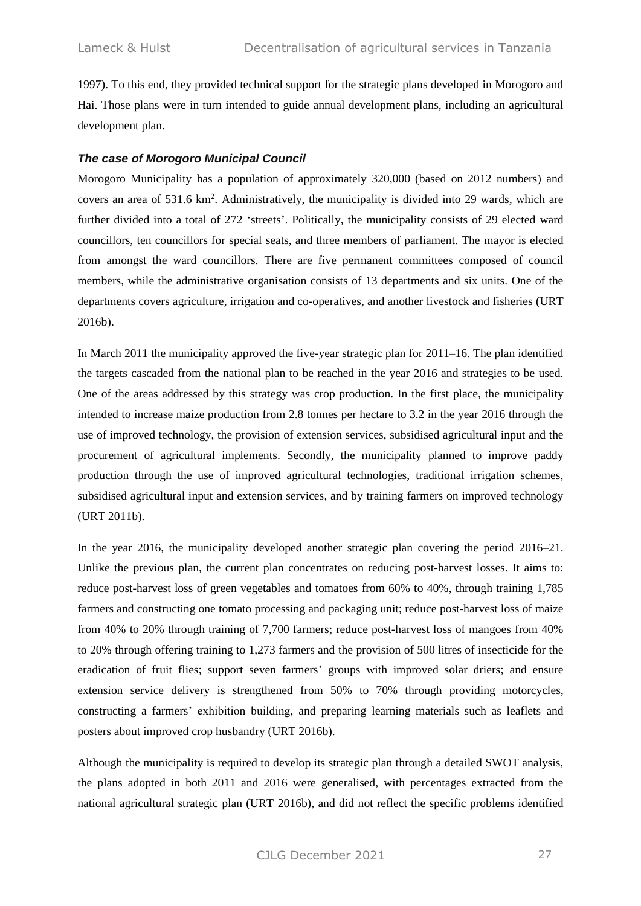1997). To this end, they provided technical support for the strategic plans developed in Morogoro and Hai. Those plans were in turn intended to guide annual development plans, including an agricultural development plan.

#### *The case of Morogoro Municipal Council*

Morogoro Municipality has a population of approximately 320,000 (based on 2012 numbers) and covers an area of 531.6 km<sup>2</sup>. Administratively, the municipality is divided into 29 wards, which are further divided into a total of 272 'streets'. Politically, the municipality consists of 29 elected ward councillors, ten councillors for special seats, and three members of parliament. The mayor is elected from amongst the ward councillors. There are five permanent committees composed of council members, while the administrative organisation consists of 13 departments and six units. One of the departments covers agriculture, irrigation and co-operatives, and another livestock and fisheries (URT 2016b).

In March 2011 the municipality approved the five-year strategic plan for 2011–16. The plan identified the targets cascaded from the national plan to be reached in the year 2016 and strategies to be used. One of the areas addressed by this strategy was crop production. In the first place, the municipality intended to increase maize production from 2.8 tonnes per hectare to 3.2 in the year 2016 through the use of improved technology, the provision of extension services, subsidised agricultural input and the procurement of agricultural implements. Secondly, the municipality planned to improve paddy production through the use of improved agricultural technologies, traditional irrigation schemes, subsidised agricultural input and extension services, and by training farmers on improved technology (URT 2011b).

In the year 2016, the municipality developed another strategic plan covering the period 2016–21. Unlike the previous plan, the current plan concentrates on reducing post-harvest losses. It aims to: reduce post-harvest loss of green vegetables and tomatoes from 60% to 40%, through training 1,785 farmers and constructing one tomato processing and packaging unit; reduce post-harvest loss of maize from 40% to 20% through training of 7,700 farmers; reduce post-harvest loss of mangoes from 40% to 20% through offering training to 1,273 farmers and the provision of 500 litres of insecticide for the eradication of fruit flies; support seven farmers' groups with improved solar driers; and ensure extension service delivery is strengthened from 50% to 70% through providing motorcycles, constructing a farmers' exhibition building, and preparing learning materials such as leaflets and posters about improved crop husbandry (URT 2016b).

Although the municipality is required to develop its strategic plan through a detailed SWOT analysis, the plans adopted in both 2011 and 2016 were generalised, with percentages extracted from the national agricultural strategic plan (URT 2016b), and did not reflect the specific problems identified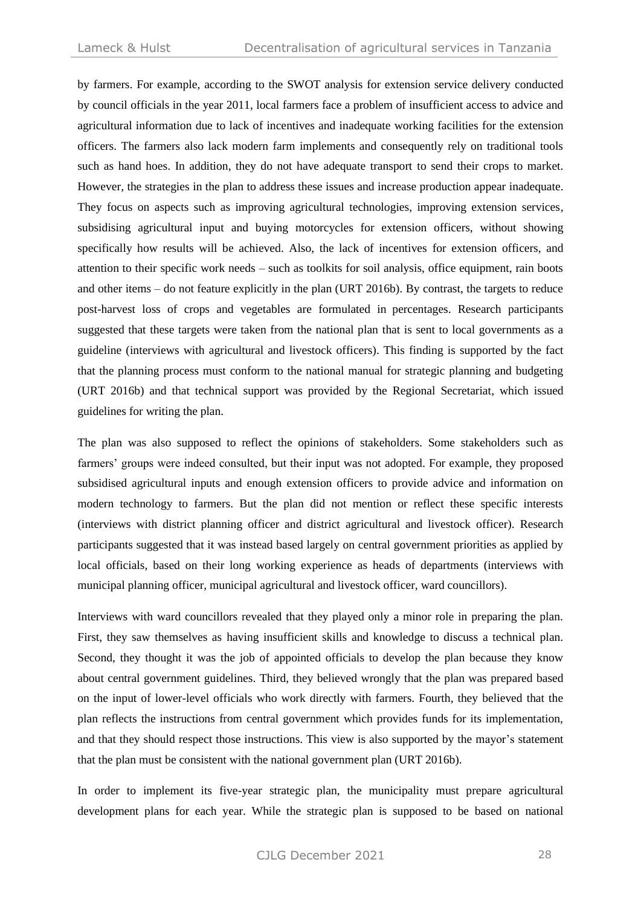by farmers. For example, according to the SWOT analysis for extension service delivery conducted by council officials in the year 2011, local farmers face a problem of insufficient access to advice and agricultural information due to lack of incentives and inadequate working facilities for the extension officers. The farmers also lack modern farm implements and consequently rely on traditional tools such as hand hoes. In addition, they do not have adequate transport to send their crops to market. However, the strategies in the plan to address these issues and increase production appear inadequate. They focus on aspects such as improving agricultural technologies, improving extension services, subsidising agricultural input and buying motorcycles for extension officers, without showing specifically how results will be achieved. Also, the lack of incentives for extension officers, and attention to their specific work needs – such as toolkits for soil analysis, office equipment, rain boots and other items – do not feature explicitly in the plan (URT 2016b). By contrast, the targets to reduce post-harvest loss of crops and vegetables are formulated in percentages. Research participants suggested that these targets were taken from the national plan that is sent to local governments as a guideline (interviews with agricultural and livestock officers). This finding is supported by the fact that the planning process must conform to the national manual for strategic planning and budgeting (URT 2016b) and that technical support was provided by the Regional Secretariat, which issued guidelines for writing the plan.

The plan was also supposed to reflect the opinions of stakeholders. Some stakeholders such as farmers' groups were indeed consulted, but their input was not adopted. For example, they proposed subsidised agricultural inputs and enough extension officers to provide advice and information on modern technology to farmers. But the plan did not mention or reflect these specific interests (interviews with district planning officer and district agricultural and livestock officer). Research participants suggested that it was instead based largely on central government priorities as applied by local officials, based on their long working experience as heads of departments (interviews with municipal planning officer, municipal agricultural and livestock officer, ward councillors).

Interviews with ward councillors revealed that they played only a minor role in preparing the plan. First, they saw themselves as having insufficient skills and knowledge to discuss a technical plan. Second, they thought it was the job of appointed officials to develop the plan because they know about central government guidelines. Third, they believed wrongly that the plan was prepared based on the input of lower-level officials who work directly with farmers. Fourth, they believed that the plan reflects the instructions from central government which provides funds for its implementation, and that they should respect those instructions. This view is also supported by the mayor's statement that the plan must be consistent with the national government plan (URT 2016b).

In order to implement its five-year strategic plan, the municipality must prepare agricultural development plans for each year. While the strategic plan is supposed to be based on national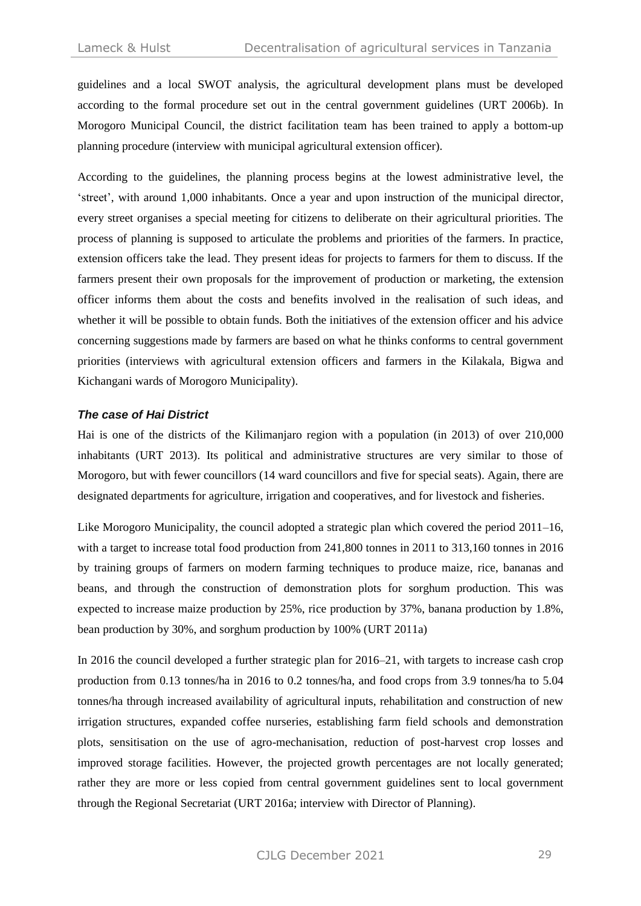guidelines and a local SWOT analysis, the agricultural development plans must be developed according to the formal procedure set out in the central government guidelines (URT 2006b). In Morogoro Municipal Council, the district facilitation team has been trained to apply a bottom-up planning procedure (interview with municipal agricultural extension officer).

According to the guidelines, the planning process begins at the lowest administrative level, the 'street', with around 1,000 inhabitants. Once a year and upon instruction of the municipal director, every street organises a special meeting for citizens to deliberate on their agricultural priorities. The process of planning is supposed to articulate the problems and priorities of the farmers. In practice, extension officers take the lead. They present ideas for projects to farmers for them to discuss. If the farmers present their own proposals for the improvement of production or marketing, the extension officer informs them about the costs and benefits involved in the realisation of such ideas, and whether it will be possible to obtain funds. Both the initiatives of the extension officer and his advice concerning suggestions made by farmers are based on what he thinks conforms to central government priorities (interviews with agricultural extension officers and farmers in the Kilakala, Bigwa and Kichangani wards of Morogoro Municipality).

#### *The case of Hai District*

Hai is one of the districts of the Kilimanjaro region with a population (in 2013) of over 210,000 inhabitants (URT 2013). Its political and administrative structures are very similar to those of Morogoro, but with fewer councillors (14 ward councillors and five for special seats). Again, there are designated departments for agriculture, irrigation and cooperatives, and for livestock and fisheries.

Like Morogoro Municipality, the council adopted a strategic plan which covered the period  $2011-16$ , with a target to increase total food production from 241,800 tonnes in 2011 to 313,160 tonnes in 2016 by training groups of farmers on modern farming techniques to produce maize, rice, bananas and beans, and through the construction of demonstration plots for sorghum production. This was expected to increase maize production by 25%, rice production by 37%, banana production by 1.8%, bean production by 30%, and sorghum production by 100% (URT 2011a)

In 2016 the council developed a further strategic plan for 2016–21, with targets to increase cash crop production from 0.13 tonnes/ha in 2016 to 0.2 tonnes/ha, and food crops from 3.9 tonnes/ha to 5.04 tonnes/ha through increased availability of agricultural inputs, rehabilitation and construction of new irrigation structures, expanded coffee nurseries, establishing farm field schools and demonstration plots, sensitisation on the use of agro-mechanisation, reduction of post-harvest crop losses and improved storage facilities. However, the projected growth percentages are not locally generated; rather they are more or less copied from central government guidelines sent to local government through the Regional Secretariat (URT 2016a; interview with Director of Planning).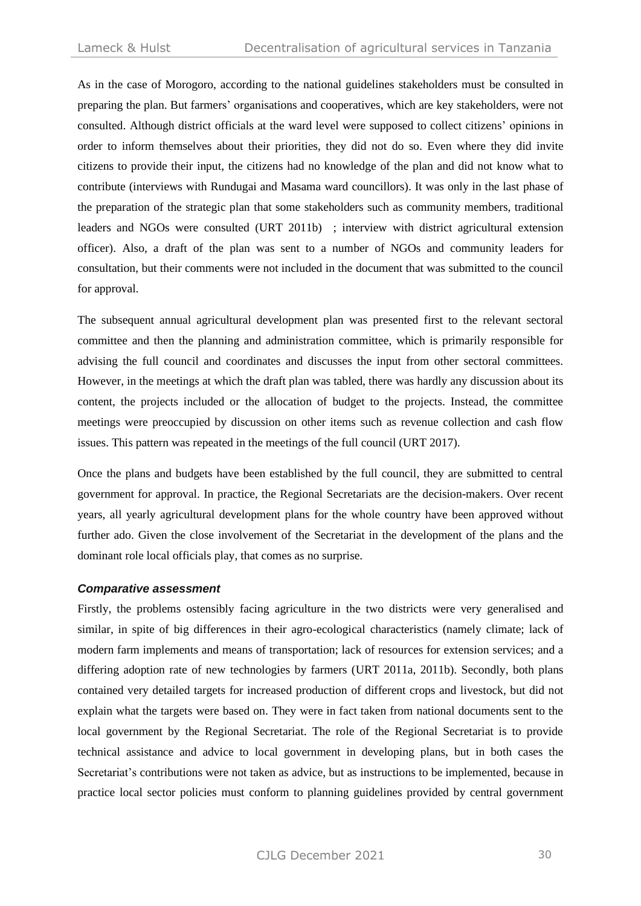As in the case of Morogoro, according to the national guidelines stakeholders must be consulted in preparing the plan. But farmers' organisations and cooperatives, which are key stakeholders, were not consulted. Although district officials at the ward level were supposed to collect citizens' opinions in order to inform themselves about their priorities, they did not do so. Even where they did invite citizens to provide their input, the citizens had no knowledge of the plan and did not know what to contribute (interviews with Rundugai and Masama ward councillors). It was only in the last phase of the preparation of the strategic plan that some stakeholders such as community members, traditional leaders and NGOs were consulted (URT 2011b) ; interview with district agricultural extension officer). Also, a draft of the plan was sent to a number of NGOs and community leaders for consultation, but their comments were not included in the document that was submitted to the council for approval.

The subsequent annual agricultural development plan was presented first to the relevant sectoral committee and then the planning and administration committee, which is primarily responsible for advising the full council and coordinates and discusses the input from other sectoral committees. However, in the meetings at which the draft plan was tabled, there was hardly any discussion about its content, the projects included or the allocation of budget to the projects. Instead, the committee meetings were preoccupied by discussion on other items such as revenue collection and cash flow issues. This pattern was repeated in the meetings of the full council (URT 2017).

Once the plans and budgets have been established by the full council, they are submitted to central government for approval. In practice, the Regional Secretariats are the decision-makers. Over recent years, all yearly agricultural development plans for the whole country have been approved without further ado. Given the close involvement of the Secretariat in the development of the plans and the dominant role local officials play, that comes as no surprise.

#### *Comparative assessment*

Firstly, the problems ostensibly facing agriculture in the two districts were very generalised and similar, in spite of big differences in their agro-ecological characteristics (namely climate; lack of modern farm implements and means of transportation; lack of resources for extension services; and a differing adoption rate of new technologies by farmers (URT 2011a, 2011b). Secondly, both plans contained very detailed targets for increased production of different crops and livestock, but did not explain what the targets were based on. They were in fact taken from national documents sent to the local government by the Regional Secretariat. The role of the Regional Secretariat is to provide technical assistance and advice to local government in developing plans, but in both cases the Secretariat's contributions were not taken as advice, but as instructions to be implemented, because in practice local sector policies must conform to planning guidelines provided by central government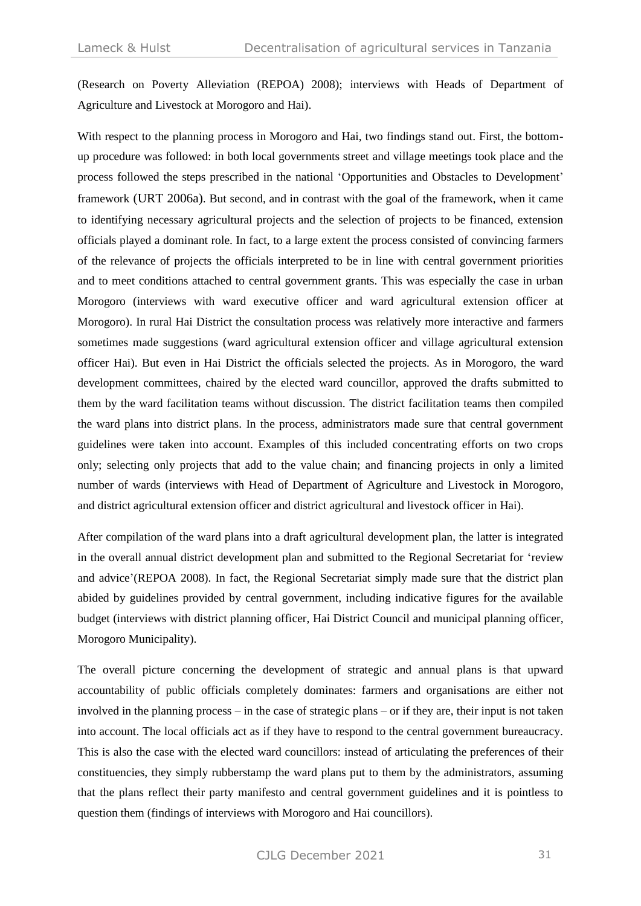(Research on Poverty Alleviation (REPOA) 2008); interviews with Heads of Department of Agriculture and Livestock at Morogoro and Hai).

With respect to the planning process in Morogoro and Hai, two findings stand out. First, the bottomup procedure was followed: in both local governments street and village meetings took place and the process followed the steps prescribed in the national 'Opportunities and Obstacles to Development' framework (URT 2006a). But second, and in contrast with the goal of the framework, when it came to identifying necessary agricultural projects and the selection of projects to be financed, extension officials played a dominant role. In fact, to a large extent the process consisted of convincing farmers of the relevance of projects the officials interpreted to be in line with central government priorities and to meet conditions attached to central government grants. This was especially the case in urban Morogoro (interviews with ward executive officer and ward agricultural extension officer at Morogoro). In rural Hai District the consultation process was relatively more interactive and farmers sometimes made suggestions (ward agricultural extension officer and village agricultural extension officer Hai). But even in Hai District the officials selected the projects. As in Morogoro, the ward development committees, chaired by the elected ward councillor, approved the drafts submitted to them by the ward facilitation teams without discussion. The district facilitation teams then compiled the ward plans into district plans. In the process, administrators made sure that central government guidelines were taken into account. Examples of this included concentrating efforts on two crops only; selecting only projects that add to the value chain; and financing projects in only a limited number of wards (interviews with Head of Department of Agriculture and Livestock in Morogoro, and district agricultural extension officer and district agricultural and livestock officer in Hai).

After compilation of the ward plans into a draft agricultural development plan, the latter is integrated in the overall annual district development plan and submitted to the Regional Secretariat for 'review and advice'(REPOA 2008). In fact, the Regional Secretariat simply made sure that the district plan abided by guidelines provided by central government, including indicative figures for the available budget (interviews with district planning officer, Hai District Council and municipal planning officer, Morogoro Municipality).

The overall picture concerning the development of strategic and annual plans is that upward accountability of public officials completely dominates: farmers and organisations are either not involved in the planning process – in the case of strategic plans – or if they are, their input is not taken into account. The local officials act as if they have to respond to the central government bureaucracy. This is also the case with the elected ward councillors: instead of articulating the preferences of their constituencies, they simply rubberstamp the ward plans put to them by the administrators, assuming that the plans reflect their party manifesto and central government guidelines and it is pointless to question them (findings of interviews with Morogoro and Hai councillors).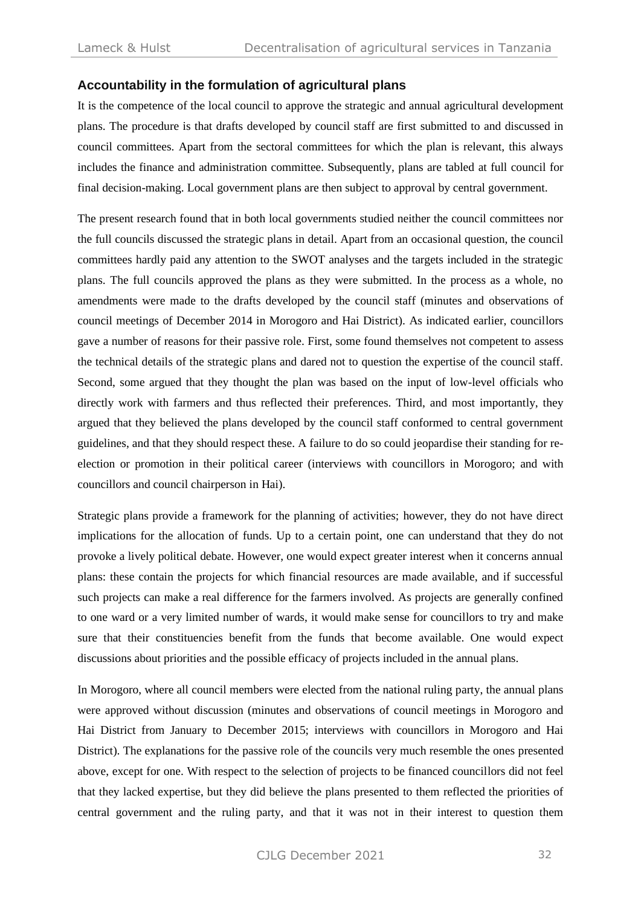### **Accountability in the formulation of agricultural plans**

It is the competence of the local council to approve the strategic and annual agricultural development plans. The procedure is that drafts developed by council staff are first submitted to and discussed in council committees. Apart from the sectoral committees for which the plan is relevant, this always includes the finance and administration committee. Subsequently, plans are tabled at full council for final decision-making. Local government plans are then subject to approval by central government.

The present research found that in both local governments studied neither the council committees nor the full councils discussed the strategic plans in detail. Apart from an occasional question, the council committees hardly paid any attention to the SWOT analyses and the targets included in the strategic plans. The full councils approved the plans as they were submitted. In the process as a whole, no amendments were made to the drafts developed by the council staff (minutes and observations of council meetings of December 2014 in Morogoro and Hai District). As indicated earlier, councillors gave a number of reasons for their passive role. First, some found themselves not competent to assess the technical details of the strategic plans and dared not to question the expertise of the council staff. Second, some argued that they thought the plan was based on the input of low-level officials who directly work with farmers and thus reflected their preferences. Third, and most importantly, they argued that they believed the plans developed by the council staff conformed to central government guidelines, and that they should respect these. A failure to do so could jeopardise their standing for reelection or promotion in their political career (interviews with councillors in Morogoro; and with councillors and council chairperson in Hai).

Strategic plans provide a framework for the planning of activities; however, they do not have direct implications for the allocation of funds. Up to a certain point, one can understand that they do not provoke a lively political debate. However, one would expect greater interest when it concerns annual plans: these contain the projects for which financial resources are made available, and if successful such projects can make a real difference for the farmers involved. As projects are generally confined to one ward or a very limited number of wards, it would make sense for councillors to try and make sure that their constituencies benefit from the funds that become available. One would expect discussions about priorities and the possible efficacy of projects included in the annual plans.

In Morogoro, where all council members were elected from the national ruling party, the annual plans were approved without discussion (minutes and observations of council meetings in Morogoro and Hai District from January to December 2015; interviews with councillors in Morogoro and Hai District). The explanations for the passive role of the councils very much resemble the ones presented above, except for one. With respect to the selection of projects to be financed councillors did not feel that they lacked expertise, but they did believe the plans presented to them reflected the priorities of central government and the ruling party, and that it was not in their interest to question them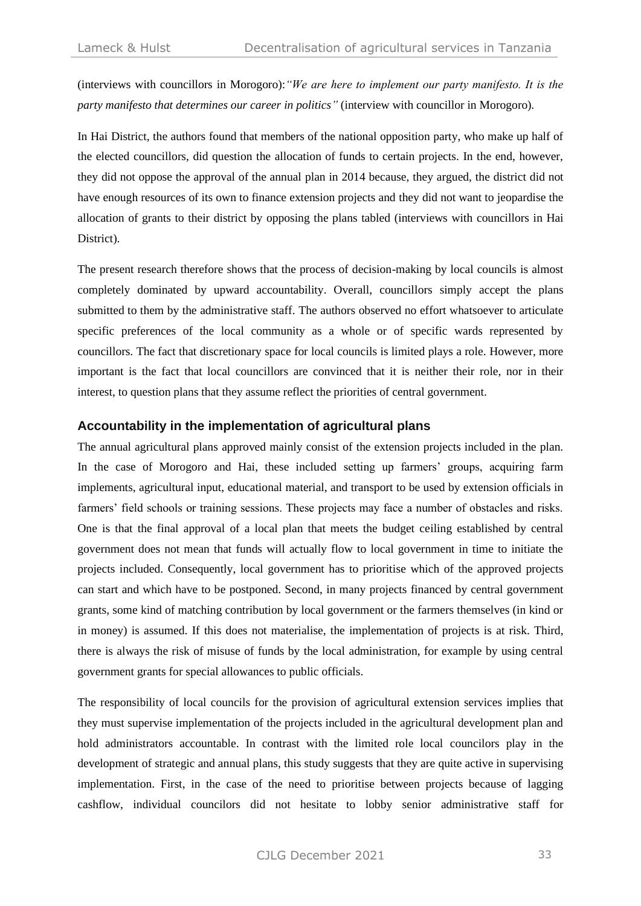(interviews with councillors in Morogoro):*"We are here to implement our party manifesto. It is the party manifesto that determines our career in politics"* (interview with councillor in Morogoro)*.* 

In Hai District, the authors found that members of the national opposition party, who make up half of the elected councillors, did question the allocation of funds to certain projects. In the end, however, they did not oppose the approval of the annual plan in 2014 because, they argued, the district did not have enough resources of its own to finance extension projects and they did not want to jeopardise the allocation of grants to their district by opposing the plans tabled (interviews with councillors in Hai District).

The present research therefore shows that the process of decision-making by local councils is almost completely dominated by upward accountability. Overall, councillors simply accept the plans submitted to them by the administrative staff. The authors observed no effort whatsoever to articulate specific preferences of the local community as a whole or of specific wards represented by councillors. The fact that discretionary space for local councils is limited plays a role. However, more important is the fact that local councillors are convinced that it is neither their role, nor in their interest, to question plans that they assume reflect the priorities of central government.

#### **Accountability in the implementation of agricultural plans**

The annual agricultural plans approved mainly consist of the extension projects included in the plan. In the case of Morogoro and Hai, these included setting up farmers' groups, acquiring farm implements, agricultural input, educational material, and transport to be used by extension officials in farmers' field schools or training sessions. These projects may face a number of obstacles and risks. One is that the final approval of a local plan that meets the budget ceiling established by central government does not mean that funds will actually flow to local government in time to initiate the projects included. Consequently, local government has to prioritise which of the approved projects can start and which have to be postponed. Second, in many projects financed by central government grants, some kind of matching contribution by local government or the farmers themselves (in kind or in money) is assumed. If this does not materialise, the implementation of projects is at risk. Third, there is always the risk of misuse of funds by the local administration, for example by using central government grants for special allowances to public officials.

The responsibility of local councils for the provision of agricultural extension services implies that they must supervise implementation of the projects included in the agricultural development plan and hold administrators accountable. In contrast with the limited role local councilors play in the development of strategic and annual plans, this study suggests that they are quite active in supervising implementation. First, in the case of the need to prioritise between projects because of lagging cashflow, individual councilors did not hesitate to lobby senior administrative staff for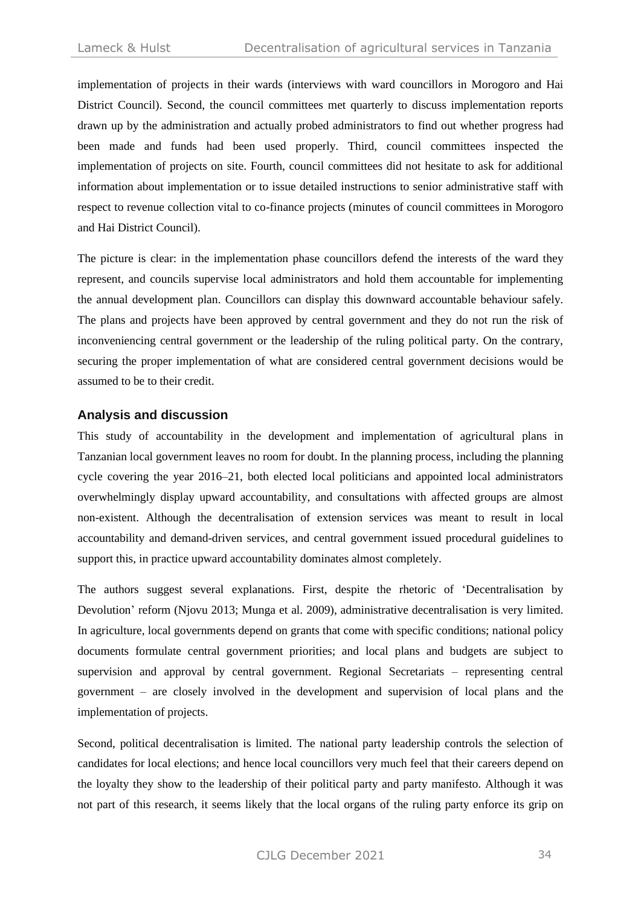implementation of projects in their wards (interviews with ward councillors in Morogoro and Hai District Council). Second, the council committees met quarterly to discuss implementation reports drawn up by the administration and actually probed administrators to find out whether progress had been made and funds had been used properly. Third, council committees inspected the implementation of projects on site. Fourth, council committees did not hesitate to ask for additional information about implementation or to issue detailed instructions to senior administrative staff with respect to revenue collection vital to co-finance projects (minutes of council committees in Morogoro and Hai District Council).

The picture is clear: in the implementation phase councillors defend the interests of the ward they represent, and councils supervise local administrators and hold them accountable for implementing the annual development plan. Councillors can display this downward accountable behaviour safely. The plans and projects have been approved by central government and they do not run the risk of inconveniencing central government or the leadership of the ruling political party. On the contrary, securing the proper implementation of what are considered central government decisions would be assumed to be to their credit.

### **Analysis and discussion**

This study of accountability in the development and implementation of agricultural plans in Tanzanian local government leaves no room for doubt. In the planning process, including the planning cycle covering the year 2016–21, both elected local politicians and appointed local administrators overwhelmingly display upward accountability, and consultations with affected groups are almost non-existent. Although the decentralisation of extension services was meant to result in local accountability and demand-driven services, and central government issued procedural guidelines to support this, in practice upward accountability dominates almost completely.

The authors suggest several explanations. First, despite the rhetoric of 'Decentralisation by Devolution' reform (Njovu 2013; Munga et al. 2009), administrative decentralisation is very limited. In agriculture, local governments depend on grants that come with specific conditions; national policy documents formulate central government priorities; and local plans and budgets are subject to supervision and approval by central government. Regional Secretariats – representing central government – are closely involved in the development and supervision of local plans and the implementation of projects.

Second, political decentralisation is limited. The national party leadership controls the selection of candidates for local elections; and hence local councillors very much feel that their careers depend on the loyalty they show to the leadership of their political party and party manifesto. Although it was not part of this research, it seems likely that the local organs of the ruling party enforce its grip on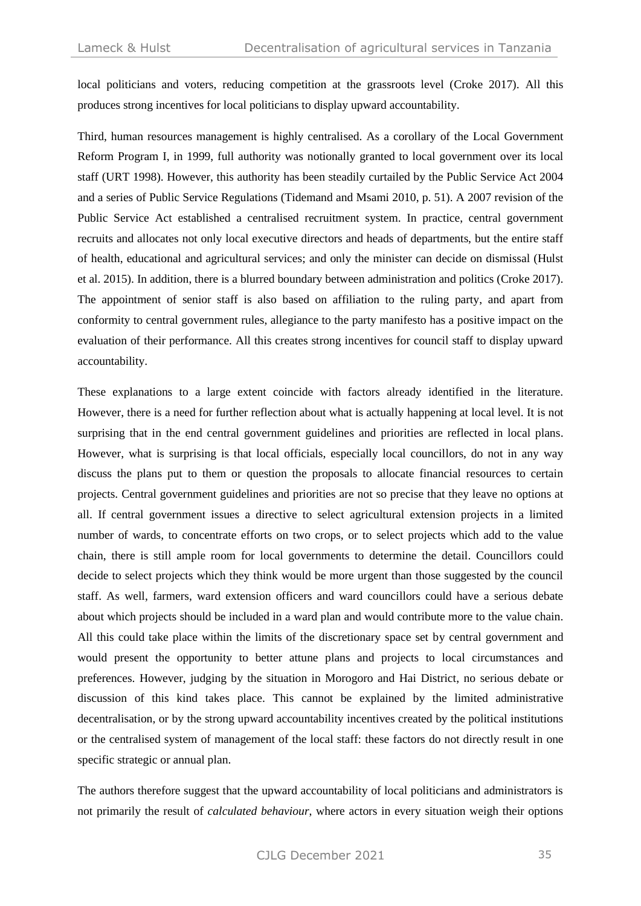local politicians and voters, reducing competition at the grassroots level (Croke 2017). All this produces strong incentives for local politicians to display upward accountability.

Third, human resources management is highly centralised. As a corollary of the Local Government Reform Program I, in 1999, full authority was notionally granted to local government over its local staff (URT 1998). However, this authority has been steadily curtailed by the Public Service Act 2004 and a series of Public Service Regulations (Tidemand and Msami 2010, p. 51). A 2007 revision of the Public Service Act established a centralised recruitment system. In practice, central government recruits and allocates not only local executive directors and heads of departments, but the entire staff of health, educational and agricultural services; and only the minister can decide on dismissal (Hulst et al. 2015). In addition, there is a blurred boundary between administration and politics (Croke 2017). The appointment of senior staff is also based on affiliation to the ruling party, and apart from conformity to central government rules, allegiance to the party manifesto has a positive impact on the evaluation of their performance. All this creates strong incentives for council staff to display upward accountability.

These explanations to a large extent coincide with factors already identified in the literature. However, there is a need for further reflection about what is actually happening at local level. It is not surprising that in the end central government guidelines and priorities are reflected in local plans. However, what is surprising is that local officials, especially local councillors, do not in any way discuss the plans put to them or question the proposals to allocate financial resources to certain projects. Central government guidelines and priorities are not so precise that they leave no options at all. If central government issues a directive to select agricultural extension projects in a limited number of wards, to concentrate efforts on two crops, or to select projects which add to the value chain, there is still ample room for local governments to determine the detail. Councillors could decide to select projects which they think would be more urgent than those suggested by the council staff. As well, farmers, ward extension officers and ward councillors could have a serious debate about which projects should be included in a ward plan and would contribute more to the value chain. All this could take place within the limits of the discretionary space set by central government and would present the opportunity to better attune plans and projects to local circumstances and preferences. However, judging by the situation in Morogoro and Hai District, no serious debate or discussion of this kind takes place. This cannot be explained by the limited administrative decentralisation, or by the strong upward accountability incentives created by the political institutions or the centralised system of management of the local staff: these factors do not directly result in one specific strategic or annual plan.

The authors therefore suggest that the upward accountability of local politicians and administrators is not primarily the result of *calculated behaviour*, where actors in every situation weigh their options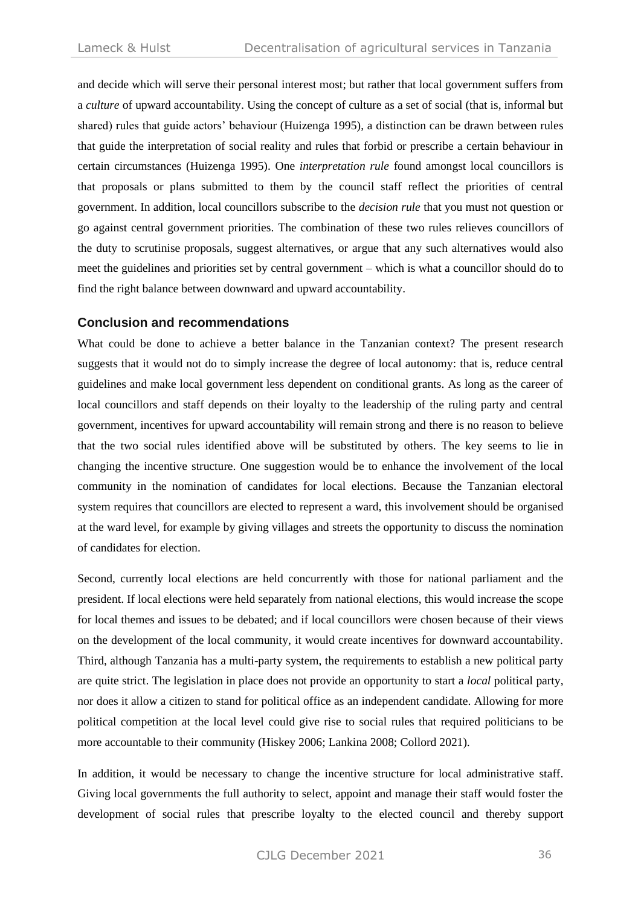and decide which will serve their personal interest most; but rather that local government suffers from a *culture* of upward accountability. Using the concept of culture as a set of social (that is, informal but shared) rules that guide actors' behaviour (Huizenga 1995), a distinction can be drawn between rules that guide the interpretation of social reality and rules that forbid or prescribe a certain behaviour in certain circumstances (Huizenga 1995). One *interpretation rule* found amongst local councillors is that proposals or plans submitted to them by the council staff reflect the priorities of central government. In addition, local councillors subscribe to the *decision rule* that you must not question or go against central government priorities. The combination of these two rules relieves councillors of the duty to scrutinise proposals, suggest alternatives, or argue that any such alternatives would also meet the guidelines and priorities set by central government – which is what a councillor should do to find the right balance between downward and upward accountability.

#### **Conclusion and recommendations**

What could be done to achieve a better balance in the Tanzanian context? The present research suggests that it would not do to simply increase the degree of local autonomy: that is, reduce central guidelines and make local government less dependent on conditional grants. As long as the career of local councillors and staff depends on their loyalty to the leadership of the ruling party and central government, incentives for upward accountability will remain strong and there is no reason to believe that the two social rules identified above will be substituted by others. The key seems to lie in changing the incentive structure. One suggestion would be to enhance the involvement of the local community in the nomination of candidates for local elections. Because the Tanzanian electoral system requires that councillors are elected to represent a ward, this involvement should be organised at the ward level, for example by giving villages and streets the opportunity to discuss the nomination of candidates for election.

Second, currently local elections are held concurrently with those for national parliament and the president. If local elections were held separately from national elections, this would increase the scope for local themes and issues to be debated; and if local councillors were chosen because of their views on the development of the local community, it would create incentives for downward accountability. Third, although Tanzania has a multi-party system, the requirements to establish a new political party are quite strict. The legislation in place does not provide an opportunity to start a *local* political party, nor does it allow a citizen to stand for political office as an independent candidate. Allowing for more political competition at the local level could give rise to social rules that required politicians to be more accountable to their community (Hiskey 2006; Lankina 2008; Collord 2021).

In addition, it would be necessary to change the incentive structure for local administrative staff. Giving local governments the full authority to select, appoint and manage their staff would foster the development of social rules that prescribe loyalty to the elected council and thereby support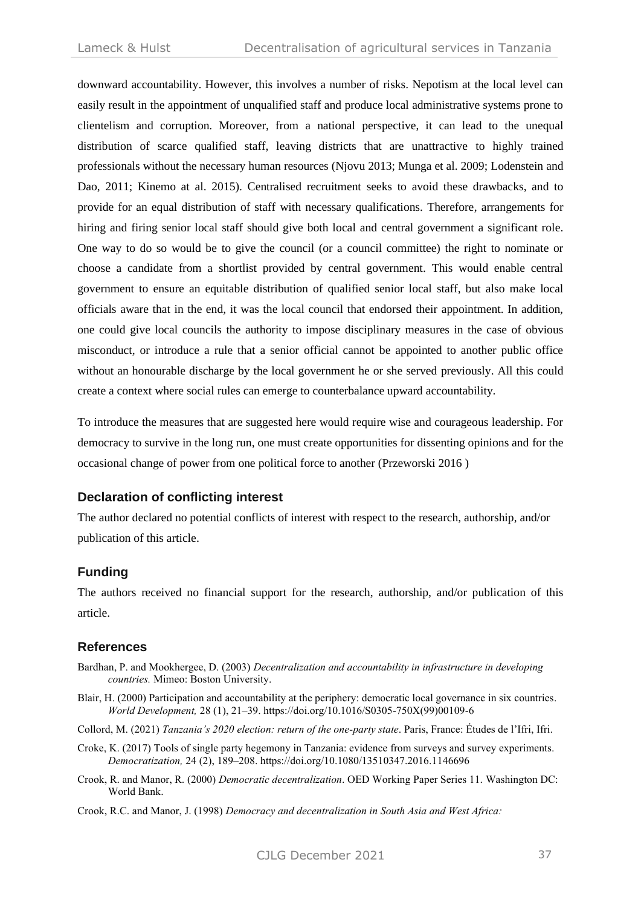downward accountability. However, this involves a number of risks. Nepotism at the local level can easily result in the appointment of unqualified staff and produce local administrative systems prone to clientelism and corruption. Moreover, from a national perspective, it can lead to the unequal distribution of scarce qualified staff, leaving districts that are unattractive to highly trained professionals without the necessary human resources (Njovu 2013; Munga et al. 2009; Lodenstein and Dao, 2011; Kinemo at al. 2015). Centralised recruitment seeks to avoid these drawbacks, and to provide for an equal distribution of staff with necessary qualifications. Therefore, arrangements for hiring and firing senior local staff should give both local and central government a significant role. One way to do so would be to give the council (or a council committee) the right to nominate or choose a candidate from a shortlist provided by central government. This would enable central government to ensure an equitable distribution of qualified senior local staff, but also make local officials aware that in the end, it was the local council that endorsed their appointment. In addition, one could give local councils the authority to impose disciplinary measures in the case of obvious misconduct, or introduce a rule that a senior official cannot be appointed to another public office without an honourable discharge by the local government he or she served previously. All this could create a context where social rules can emerge to counterbalance upward accountability.

To introduce the measures that are suggested here would require wise and courageous leadership. For democracy to survive in the long run, one must create opportunities for dissenting opinions and for the occasional change of power from one political force to another (Przeworski 2016 )

## **Declaration of conflicting interest**

The author declared no potential conflicts of interest with respect to the research, authorship, and/or publication of this article.

## **Funding**

The authors received no financial support for the research, authorship, and/or publication of this article.

## **References**

- Bardhan, P. and Mookhergee, D. (2003) *Decentralization and accountability in infrastructure in developing countries.* Mimeo: Boston University.
- Blair, H. (2000) Participation and accountability at the periphery: democratic local governance in six countries. *World Development,* 28 (1), 21–39. https://doi.org/10.1016/S0305-750X(99)00109-6
- Collord, M. (2021) *Tanzania's 2020 election: return of the one-party state*. Paris, France: Études de l'Ifri, Ifri.
- Croke, K. (2017) Tools of single party hegemony in Tanzania: evidence from surveys and survey experiments. *Democratization,* 24 (2), 189–208. https://doi.org/10.1080/13510347.2016.1146696
- Crook, R. and Manor, R. (2000) *Democratic decentralization*. OED Working Paper Series 11. Washington DC: World Bank.
- Crook, R.C. and Manor, J. (1998) *Democracy and decentralization in South Asia and West Africa:*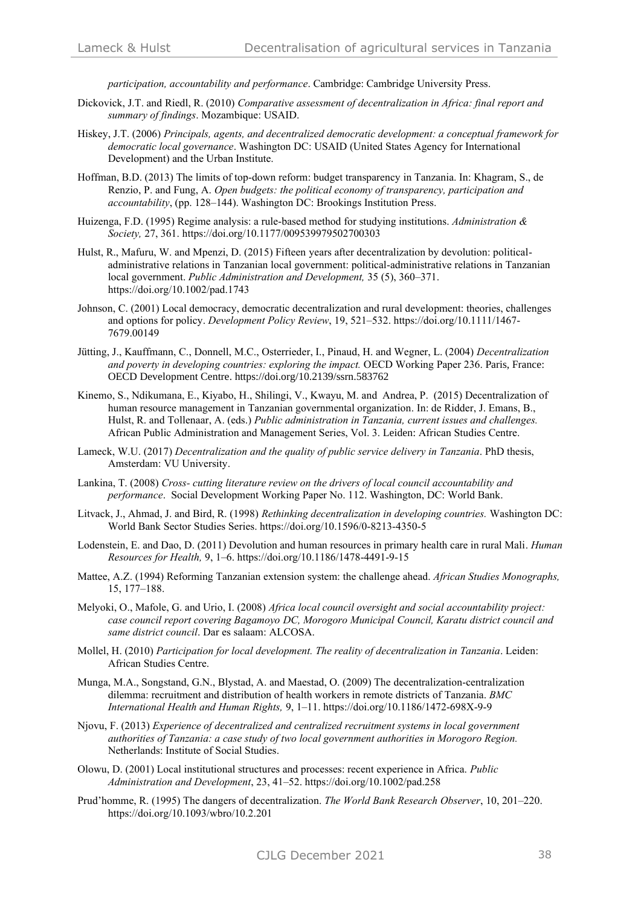*participation, accountability and performance*. Cambridge: Cambridge University Press.

- Dickovick, J.T. and Riedl, R. (2010) *Comparative assessment of decentralization in Africa: final report and summary of findings*. Mozambique: USAID.
- Hiskey, J.T. (2006) *Principals, agents, and decentralized democratic development: a conceptual framework for democratic local governance*. Washington DC: USAID (United States Agency for International Development) and the Urban Institute.
- Hoffman, B.D. (2013) The limits of top-down reform: budget transparency in Tanzania. In: Khagram, S., de Renzio, P. and Fung, A. *Open budgets: the political economy of transparency, participation and accountability*, (pp. 128–144). Washington DC: Brookings Institution Press.
- Huizenga, F.D. (1995) Regime analysis: a rule-based method for studying institutions. *Administration & Society,* 27, 361. https://doi.org/10.1177/009539979502700303
- Hulst, R., Mafuru, W. and Mpenzi, D. (2015) Fifteen years after decentralization by devolution: politicaladministrative relations in Tanzanian local government: political-administrative relations in Tanzanian local government. *Public Administration and Development,* 35 (5), 360–371. https://doi.org/10.1002/pad.1743
- Johnson, C. (2001) Local democracy, democratic decentralization and rural development: theories, challenges and options for policy. *Development Policy Review*, 19, 521–532. https://doi.org/10.1111/1467- 7679.00149
- Jütting, J., Kauffmann, C., Donnell, M.C., Osterrieder, I., Pinaud, H. and Wegner, L. (2004) *Decentralization and poverty in developing countries: exploring the impact.* OECD Working Paper 236. Paris, France: [OECD Development Centre.](https://ideas.repec.org/s/oec/devaaa.html) https://doi.org/10.2139/ssrn.583762
- Kinemo, S., Ndikumana, E., Kiyabo, H., Shilingi, V., Kwayu, M. and Andrea, P. (2015) Decentralization of human resource management in Tanzanian governmental organization. In: de Ridder, J. Emans, B., Hulst, R. and Tollenaar, A. (eds.) *Public administration in Tanzania, current issues and challenges.* African Public Administration and Management Series, Vol. 3. Leiden: African Studies Centre.
- Lameck, W.U. (2017) *Decentralization and the quality of public service delivery in Tanzania*. PhD thesis, Amsterdam: VU University.
- Lankina, T. (2008) *Cross- cutting literature review on the drivers of local council accountability and performance*. Social Development Working Paper No. 112. Washington, DC: World Bank.
- Litvack, J., Ahmad, J. and Bird, R. (1998) *Rethinking decentralization in developing countries.* Washington DC: World Bank Sector Studies Series. https://doi.org/10.1596/0-8213-4350-5
- Lodenstein, E. and Dao, D. (2011) Devolution and human resources in primary health care in rural Mali. *Human Resources for Health,* 9, 1–6. https://doi.org/10.1186/1478-4491-9-15
- Mattee, A.Z. (1994) Reforming Tanzanian extension system: the challenge ahead. *African Studies Monographs,* 15, 177–188.
- Melyoki, O., Mafole, G. and Urio, I. (2008) *Africa local council oversight and social accountability project: case council report covering Bagamoyo DC, Morogoro Municipal Council, Karatu district council and same district council*. Dar es salaam: ALCOSA.
- Mollel, H. (2010) *Participation for local development. The reality of decentralization in Tanzania*. Leiden: African Studies Centre.
- Munga, M.A., Songstand, G.N., Blystad, A. and Maestad, O. (2009) The decentralization-centralization dilemma: recruitment and distribution of health workers in remote districts of Tanzania. *BMC International Health and Human Rights,* 9, 1–11. https://doi.org/10.1186/1472-698X-9-9
- Njovu, F. (2013) *Experience of decentralized and centralized recruitment systems in local government authorities of Tanzania: a case study of two local government authorities in Morogoro Region.* Netherlands: Institute of Social Studies.
- Olowu, D. (2001) Local institutional structures and processes: recent experience in Africa. *Public Administration and Development*, 23, 41–52. https://doi.org/10.1002/pad.258
- Prud'homme, R. (1995) The dangers of decentralization. *The World Bank Research Observer*, 10, 201–220. https://doi.org/10.1093/wbro/10.2.201